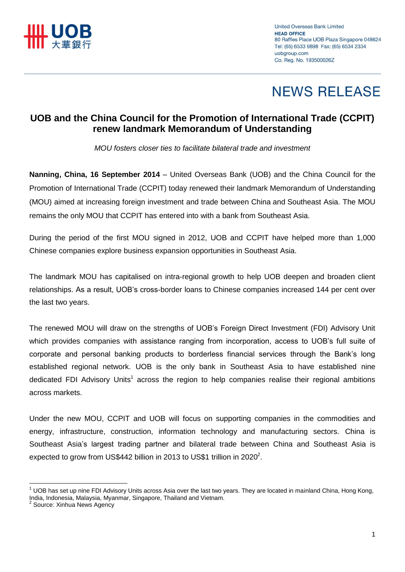

# **NEWS RELEASE**

### **UOB and the China Council for the Promotion of International Trade (CCPIT) renew landmark Memorandum of Understanding**

*MOU fosters closer ties to facilitate bilateral trade and investment*

**Nanning, China, 16 September 2014** – United Overseas Bank (UOB) and the China Council for the Promotion of International Trade (CCPIT) today renewed their landmark Memorandum of Understanding (MOU) aimed at increasing foreign investment and trade between China and Southeast Asia. The MOU remains the only MOU that CCPIT has entered into with a bank from Southeast Asia.

During the period of the first MOU signed in 2012, UOB and CCPIT have helped more than 1,000 Chinese companies explore business expansion opportunities in Southeast Asia.

The landmark MOU has capitalised on intra-regional growth to help UOB deepen and broaden client relationships. As a result, UOB's cross-border loans to Chinese companies increased 144 per cent over the last two years.

The renewed MOU will draw on the strengths of UOB's Foreign Direct Investment (FDI) Advisory Unit which provides companies with assistance ranging from incorporation, access to UOB's full suite of corporate and personal banking products to borderless financial services through the Bank's long established regional network. UOB is the only bank in Southeast Asia to have established nine dedicated FDI Advisory Units<sup>1</sup> across the region to help companies realise their regional ambitions across markets.

Under the new MOU, CCPIT and UOB will focus on supporting companies in the commodities and energy, infrastructure, construction, information technology and manufacturing sectors. China is Southeast Asia's largest trading partner and bilateral trade between China and Southeast Asia is expected to grow from US\$442 billion in 2013 to US\$1 trillion in 2020<sup>2</sup>.

 $\overline{a}$  $1$  UOB has set up nine FDI Advisory Units across Asia over the last two years. They are located in mainland China, Hong Kong, India, Indonesia, Malaysia, Myanmar, Singapore, Thailand and Vietnam.

<sup>&</sup>lt;sup>2</sup> Source: Xinhua News Agency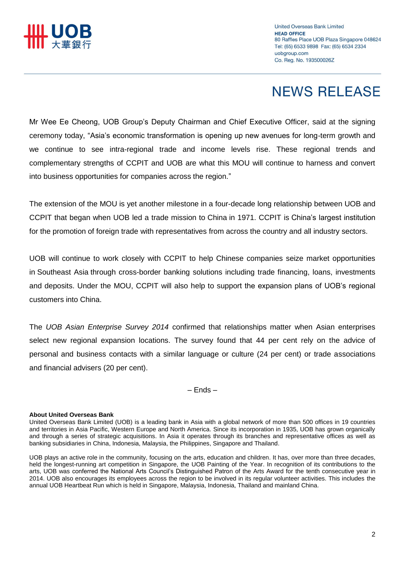

# **NEWS RELEASE**

Mr Wee Ee Cheong, UOB Group's Deputy Chairman and Chief Executive Officer, said at the signing ceremony today, "Asia's economic transformation is opening up new avenues for long-term growth and we continue to see intra-regional trade and income levels rise. These regional trends and complementary strengths of CCPIT and UOB are what this MOU will continue to harness and convert into business opportunities for companies across the region."

The extension of the MOU is yet another milestone in a four-decade long relationship between UOB and CCPIT that began when UOB led a trade mission to China in 1971. CCPIT is China's largest institution for the promotion of foreign trade with representatives from across the country and all industry sectors.

UOB will continue to work closely with CCPIT to help Chinese companies seize market opportunities in Southeast Asia through cross-border banking solutions including trade financing, loans, investments and deposits. Under the MOU, CCPIT will also help to support the expansion plans of UOB's regional customers into China.

The *UOB Asian Enterprise Survey 2014* confirmed that relationships matter when Asian enterprises select new regional expansion locations. The survey found that 44 per cent rely on the advice of personal and business contacts with a similar language or culture (24 per cent) or trade associations and financial advisers (20 per cent).

– Ends –

### **About United Overseas Bank**

UOB plays an active role in the community, focusing on the arts, education and children. It has, over more than three decades, held the longest-running art competition in Singapore, the UOB Painting of the Year. In recognition of its contributions to the arts, UOB was conferred the National Arts Council's Distinguished Patron of the Arts Award for the tenth consecutive year in 2014. UOB also encourages its employees across the region to be involved in its regular volunteer activities. This includes the annual UOB Heartbeat Run which is held in Singapore, Malaysia, Indonesia, Thailand and mainland China.

United Overseas Bank Limited (UOB) is a leading bank in Asia with a global network of more than 500 offices in 19 countries and territories in Asia Pacific, Western Europe and North America. Since its incorporation in 1935, UOB has grown organically and through a series of strategic acquisitions. In Asia it operates through its branches and representative offices as well as banking subsidiaries in China, Indonesia, Malaysia, the Philippines, Singapore and Thailand.